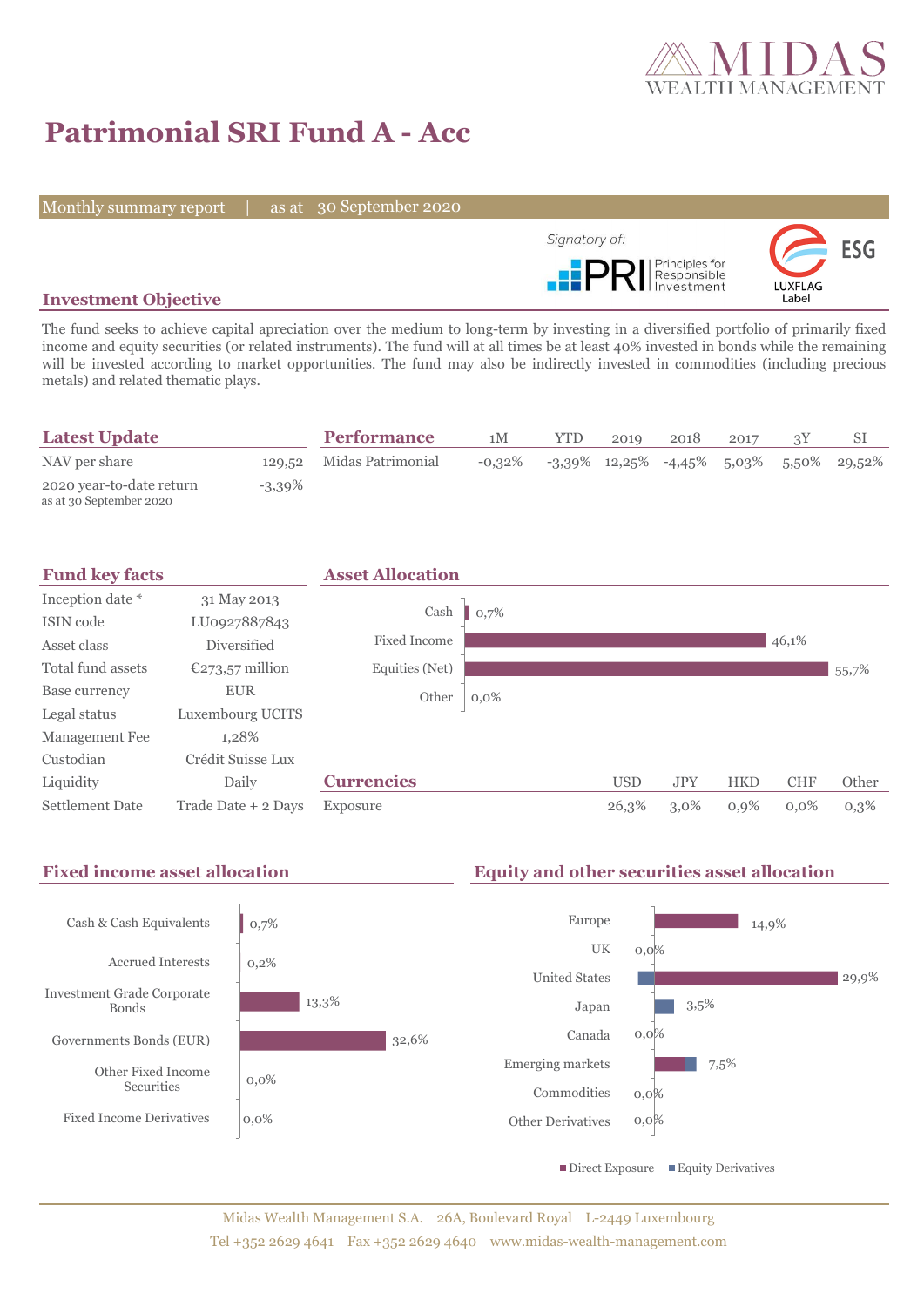

# **Patrimonial SRI Fund A - Acc**

Monthly summary report | as at 30 September 2020



## **Investment Objective**

The fund seeks to achieve capital apreciation over the medium to long-term by investing in a diversified portfolio of primarily fixed income and equity securities (or related instruments). The fund will at all times be at least 40% invested in bonds while the remaining will be invested according to market opportunities. The fund may also be indirectly invested in commodities (including precious metals) and related thematic plays.

| <b>Latest Update</b>                                |           | <b>Performance</b>       | 1M        | YTD. | 2019 | 2018 | 2017 |                                               |
|-----------------------------------------------------|-----------|--------------------------|-----------|------|------|------|------|-----------------------------------------------|
| NAV per share                                       |           | 129,52 Midas Patrimonial | $-0.32\%$ |      |      |      |      | $-3,39\%$ 12,25% $-4,45\%$ 5,03% 5,50% 29,52% |
| 2020 year-to-date return<br>as at 30 September 2020 | $-3,39\%$ |                          |           |      |      |      |      |                                               |



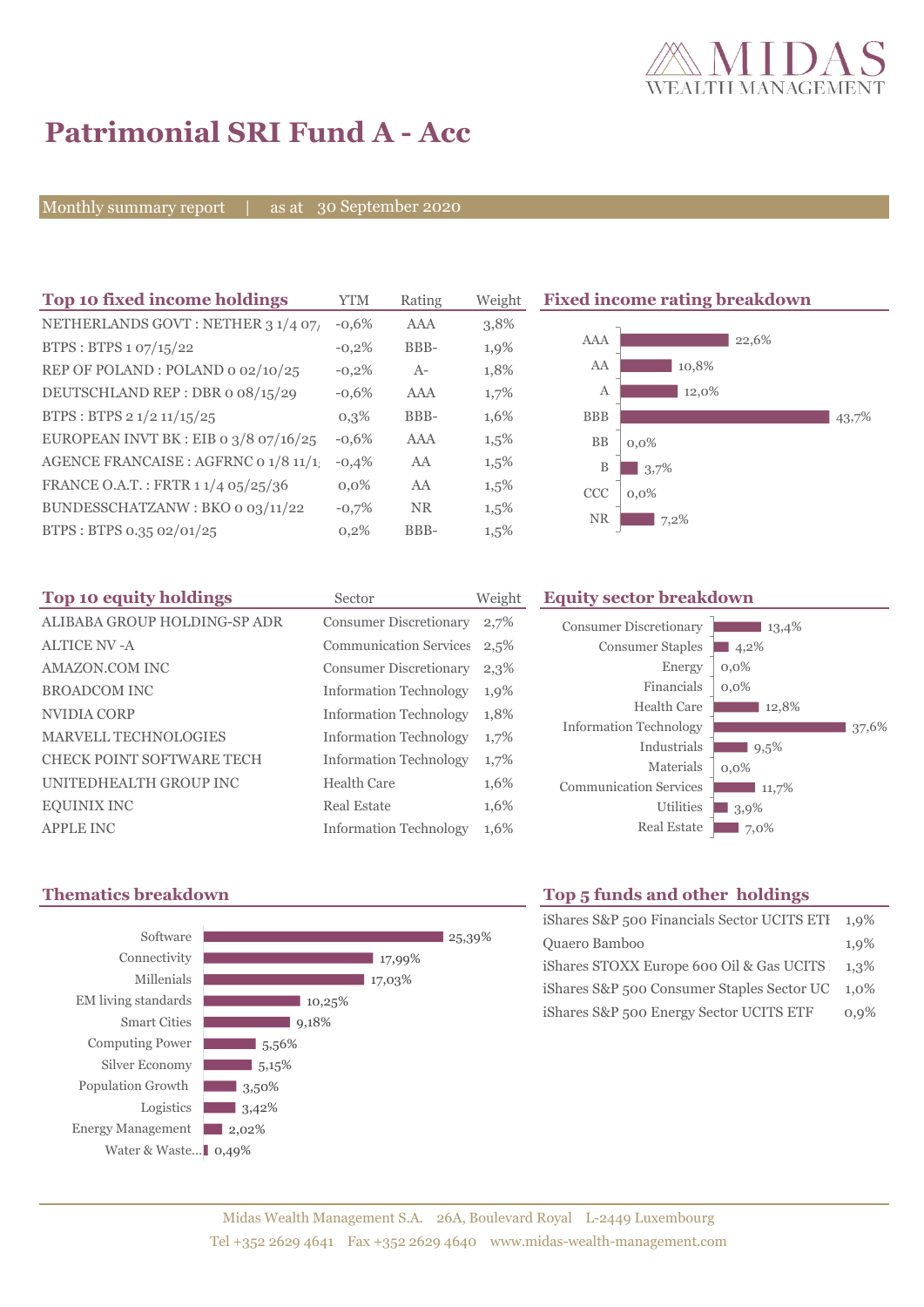

43,7%

# **Patrimonial SRI Fund A - Acc**

Monthly summary report | as at 30 September 2020

| Top 10 fixed income holdings                       | <b>YTM</b> | Rating     | Weight  | <b>Fixed income rating breakdown</b> |
|----------------------------------------------------|------------|------------|---------|--------------------------------------|
| NETHERLANDS GOVT: NETHER 3 1/4 07/                 | $-0.6%$    | <b>AAA</b> | 3,8%    |                                      |
| BTPS: BTPS 1 07/15/22                              | $-0,2\%$   | BBB-       | 1,9%    | AAA<br>22,6%                         |
| REP OF POLAND: POLAND 0 02/10/25                   | $-0,2%$    | $A-$       | 1,8%    | AA<br>10,8%                          |
| DEUTSCHLAND REP : DBR o 08/15/29                   | $-0.6%$    | <b>AAA</b> | 1,7%    | 12,0%<br>А                           |
| BTPS : BTPS $2 \frac{1}{2} \frac{11}{15} \cdot 25$ | $0,3\%$    | BBB-       | 1,6%    | <b>BBB</b>                           |
| EUROPEAN INVT BK : EIB o $3/8$ o7/16/25            | $-0.6%$    | <b>AAA</b> | 1,5%    | BB<br>$0.0\%$                        |
| AGENCE FRANCAISE : AGFRNC 0 1/8 11/1               | $-0,4%$    | AA         | $1,5\%$ | 3,7%<br>B                            |
| FRANCE O.A.T.: FRTR 1 1/4 05/25/36                 | $0.0\%$    | AA         | $1,5\%$ | <b>CCC</b><br>$0.0\%$                |
| BUNDESSCHATZANW: BKO o 03/11/22                    | $-0,7%$    | <b>NR</b>  | $1,5\%$ | <b>NR</b><br>7,2%                    |
| BTPS: BTPS 0.35 02/01/25                           | 0,2%       | BBB-       | 1,5%    |                                      |

| Top 10 equity holdings           | Sector                        | Weight |
|----------------------------------|-------------------------------|--------|
| ALIBABA GROUP HOLDING-SP ADR     | <b>Consumer Discretionary</b> | 2,7%   |
| <b>ALTICE NV - A</b>             | <b>Communication Services</b> | 2,5%   |
| AMAZON.COM INC                   | <b>Consumer Discretionary</b> | 2,3%   |
| <b>BROADCOM INC</b>              | <b>Information Technology</b> | 1,9%   |
| NVIDIA CORP                      | <b>Information Technology</b> | 1,8%   |
| <b>MARVELL TECHNOLOGIES</b>      | <b>Information Technology</b> | 1,7%   |
| <b>CHECK POINT SOFTWARE TECH</b> | <b>Information Technology</b> | 1,7%   |
| UNITEDHEALTH GROUP INC           | Health Care                   | 1,6%   |
| <b>EQUINIX INC</b>               | Real Estate                   | 1,6%   |
| <b>APPLE INC</b>                 | <b>Information Technology</b> | 1,6%   |

# **Equity sector breakdown**





## **Thematics breakdown Top 5 funds and other holdings**

| iShares S&P 500 Financials Sector UCITS ETI | $1.9\%$ |
|---------------------------------------------|---------|
| Quaero Bamboo                               | 1,9%    |
| iShares STOXX Europe 600 Oil & Gas UCITS    | 1.3%    |
| iShares S&P 500 Consumer Staples Sector UC  | $1.0\%$ |
| iShares S&P 500 Energy Sector UCITS ETF     | 0.9%    |